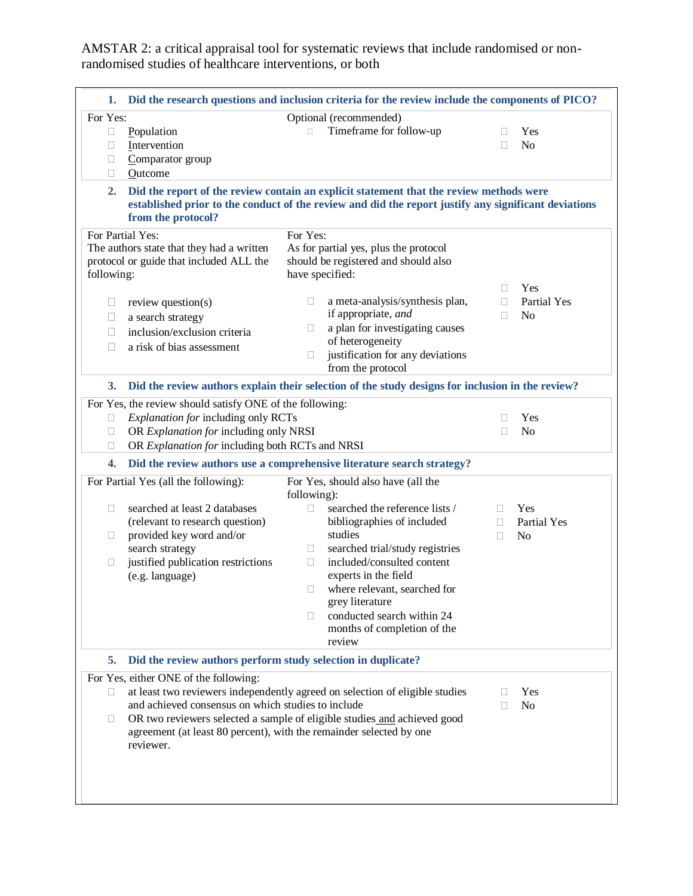AMSTAR 2: a critical appraisal tool for systematic reviews that include randomised or nonrandomised studies of healthcare interventions, or both

| 1.                                                                                        |                                                                                                                                                                                              | Did the research questions and inclusion criteria for the review include the components of PICO?                                                                                                                                                                                                                              |                  |                          |
|-------------------------------------------------------------------------------------------|----------------------------------------------------------------------------------------------------------------------------------------------------------------------------------------------|-------------------------------------------------------------------------------------------------------------------------------------------------------------------------------------------------------------------------------------------------------------------------------------------------------------------------------|------------------|--------------------------|
| For Yes:<br>Population<br>□<br>Intervention<br>Ц<br>Comparator group<br>□<br>Outcome<br>□ |                                                                                                                                                                                              | Optional (recommended)<br>Timeframe for follow-up<br>П                                                                                                                                                                                                                                                                        | П<br>П           | Yes<br>N <sub>o</sub>    |
| 2.<br>from the protocol?                                                                  |                                                                                                                                                                                              | Did the report of the review contain an explicit statement that the review methods were<br>established prior to the conduct of the review and did the report justify any significant deviations                                                                                                                               |                  |                          |
| For Partial Yes:<br>following:<br>review question(s)<br>$\Box$                            | The authors state that they had a written<br>protocol or guide that included ALL the                                                                                                         | For Yes:<br>As for partial yes, plus the protocol<br>should be registered and should also<br>have specified:<br>a meta-analysis/synthesis plan,<br>□                                                                                                                                                                          | П<br>$\Box$      | Yes<br>Partial Yes       |
| a search strategy<br>Ш<br>$\Box$<br>П                                                     | inclusion/exclusion criteria<br>a risk of bias assessment                                                                                                                                    | if appropriate, and<br>a plan for investigating causes<br>$\Box$<br>of heterogeneity<br>justification for any deviations<br>$\Box$<br>from the protocol                                                                                                                                                                       | П                | N <sub>0</sub>           |
| 3.                                                                                        |                                                                                                                                                                                              | Did the review authors explain their selection of the study designs for inclusion in the review?                                                                                                                                                                                                                              |                  |                          |
| $\Box$<br>$\Box$<br>□                                                                     | For Yes, the review should satisfy ONE of the following:<br>Explanation for including only RCTs<br>OR Explanation for including only NRSI<br>OR Explanation for including both RCTs and NRSI |                                                                                                                                                                                                                                                                                                                               | П<br>П           | Yes<br>N <sub>o</sub>    |
| 4.                                                                                        |                                                                                                                                                                                              | Did the review authors use a comprehensive literature search strategy?                                                                                                                                                                                                                                                        |                  |                          |
| For Partial Yes (all the following):                                                      |                                                                                                                                                                                              | For Yes, should also have (all the<br>following):                                                                                                                                                                                                                                                                             |                  |                          |
| □<br>Ш<br>search strategy<br>$\Box$<br>(e.g. language)                                    | searched at least 2 databases<br>(relevant to research question)<br>provided key word and/or<br>justified publication restrictions                                                           | searched the reference lists /<br>□<br>bibliographies of included<br>studies<br>searched trial/study registries<br>$\Box$<br>included/consulted content<br>П<br>experts in the field<br>$\Box$<br>where relevant, searched for<br>grey literature<br>conducted search within 24<br>П<br>months of completion of the<br>review | $\Box$<br>П<br>П | Yes<br>Partial Yes<br>No |
| 5.                                                                                        |                                                                                                                                                                                              | Did the review authors perform study selection in duplicate?                                                                                                                                                                                                                                                                  |                  |                          |
| For Yes, either ONE of the following:<br>u<br>П<br>reviewer.                              | and achieved consensus on which studies to include                                                                                                                                           | at least two reviewers independently agreed on selection of eligible studies<br>OR two reviewers selected a sample of eligible studies and achieved good<br>agreement (at least 80 percent), with the remainder selected by one                                                                                               | П                | Yes<br>N <sub>o</sub>    |
|                                                                                           |                                                                                                                                                                                              |                                                                                                                                                                                                                                                                                                                               |                  |                          |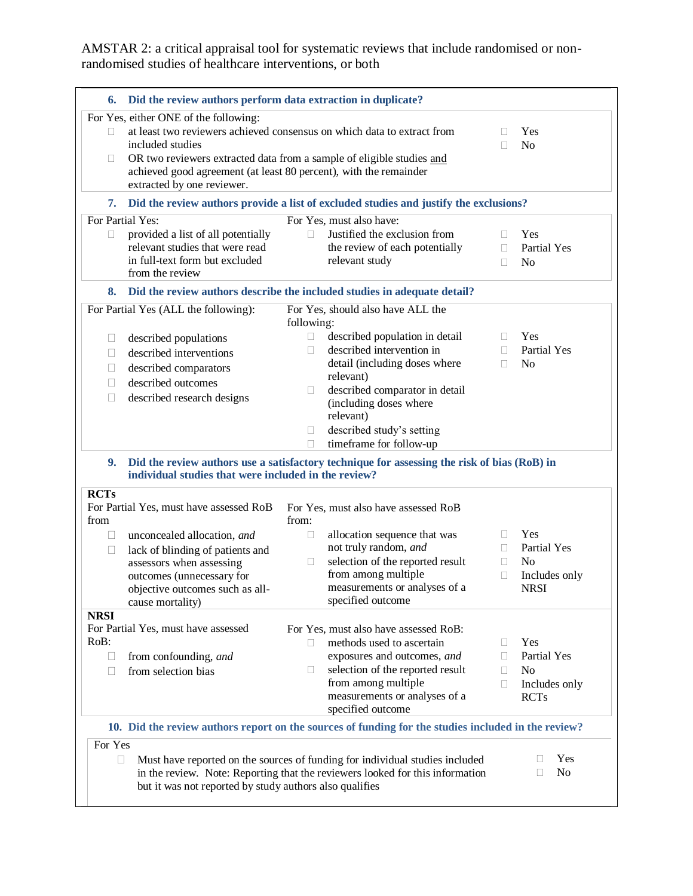AMSTAR 2: a critical appraisal tool for systematic reviews that include randomised or nonrandomised studies of healthcare interventions, or both

| 6.                     | Did the review authors perform data extraction in duplicate?                                                                                                                    |                                                                                                                                                                                                      |                                                                                        |
|------------------------|---------------------------------------------------------------------------------------------------------------------------------------------------------------------------------|------------------------------------------------------------------------------------------------------------------------------------------------------------------------------------------------------|----------------------------------------------------------------------------------------|
| □                      | For Yes, either ONE of the following:<br>included studies<br>achieved good agreement (at least 80 percent), with the remainder<br>extracted by one reviewer.                    | at least two reviewers achieved consensus on which data to extract from<br>OR two reviewers extracted data from a sample of eligible studies and                                                     | Yes<br>$\mathbf{L}$<br>N <sub>o</sub>                                                  |
| 7.                     |                                                                                                                                                                                 | Did the review authors provide a list of excluded studies and justify the exclusions?                                                                                                                |                                                                                        |
| П                      | For Partial Yes:<br>provided a list of all potentially<br>relevant studies that were read<br>in full-text form but excluded<br>from the review                                  | For Yes, must also have:<br>Justified the exclusion from<br>H<br>the review of each potentially<br>relevant study                                                                                    | Yes<br>П<br>Partial Yes<br>П<br>N <sub>o</sub><br>П                                    |
| 8.                     |                                                                                                                                                                                 | Did the review authors describe the included studies in adequate detail?                                                                                                                             |                                                                                        |
| $\Box$<br>П            | For Partial Yes (ALL the following):<br>described populations<br>described interventions                                                                                        | For Yes, should also have ALL the<br>following:<br>described population in detail<br>$\Box$<br>described intervention in<br>П                                                                        | Yes<br>□<br>Partial Yes<br>П                                                           |
| □<br>П<br>u            | described comparators<br>described outcomes<br>described research designs                                                                                                       | detail (including doses where<br>relevant)<br>described comparator in detail<br>Ш<br>(including doses where<br>relevant)<br>described study's setting<br>$\Box$<br>timeframe for follow-up<br>$\Box$ | П<br>N <sub>0</sub>                                                                    |
| 9.<br><b>RCTs</b>      | individual studies that were included in the review?                                                                                                                            | Did the review authors use a satisfactory technique for assessing the risk of bias (RoB) in                                                                                                          |                                                                                        |
| from                   | For Partial Yes, must have assessed RoB                                                                                                                                         | For Yes, must also have assessed RoB<br>from:                                                                                                                                                        |                                                                                        |
| □<br>$\Box$            | unconcealed allocation, and<br>lack of blinding of patients and<br>assessors when assessing<br>outcomes (unnecessary for<br>objective outcomes such as all-<br>cause mortality) | allocation sequence that was<br>$\Box$<br>not truly random, and<br>selection of the reported result<br>$\Box$<br>from among multiple<br>measurements or analyses of a<br>specified outcome           | Yes<br>П<br>Partial Yes<br>П<br>$\Box$<br>No<br>Includes only<br>$\Box$<br><b>NRSI</b> |
| <b>NRSI</b><br>RoB:    | For Partial Yes, must have assessed                                                                                                                                             | For Yes, must also have assessed RoB:<br>methods used to ascertain<br>$\mathbf{L}$                                                                                                                   | Yes<br>п                                                                               |
| $\Box$<br>$\mathbf{L}$ | from confounding, and<br>from selection bias                                                                                                                                    | exposures and outcomes, and<br>selection of the reported result<br>u<br>from among multiple<br>measurements or analyses of a<br>specified outcome                                                    | Partial Yes<br>П<br>No<br>П<br>Includes only<br>П<br><b>RCTs</b>                       |
|                        |                                                                                                                                                                                 | 10. Did the review authors report on the sources of funding for the studies included in the review?                                                                                                  |                                                                                        |
| For Yes<br>$\Box$      | but it was not reported by study authors also qualifies                                                                                                                         | Must have reported on the sources of funding for individual studies included<br>in the review. Note: Reporting that the reviewers looked for this information                                        | Yes<br>N <sub>0</sub>                                                                  |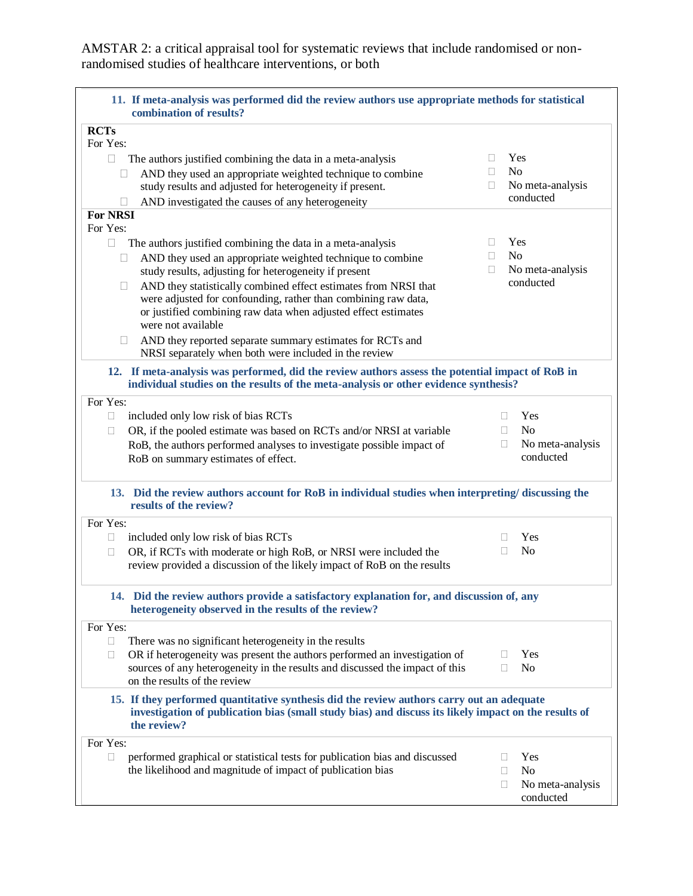AMSTAR 2: a critical appraisal tool for systematic reviews that include randomised or nonrandomised studies of healthcare interventions, or both

| 11. If meta-analysis was performed did the review authors use appropriate methods for statistical<br>combination of results?                                                                                     |              |                               |
|------------------------------------------------------------------------------------------------------------------------------------------------------------------------------------------------------------------|--------------|-------------------------------|
| <b>RCTs</b><br>For Yes:                                                                                                                                                                                          |              |                               |
| The authors justified combining the data in a meta-analysis<br>$\Box$                                                                                                                                            |              | Yes                           |
|                                                                                                                                                                                                                  | $\mathbf{L}$ | N <sub>o</sub>                |
| AND they used an appropriate weighted technique to combine<br>$\Box$<br>study results and adjusted for heterogeneity if present.<br>П<br>AND investigated the causes of any heterogeneity                        |              | No meta-analysis              |
|                                                                                                                                                                                                                  |              | conducted                     |
| <b>For NRSI</b>                                                                                                                                                                                                  |              |                               |
| For Yes:                                                                                                                                                                                                         |              |                               |
| $\Box$<br>The authors justified combining the data in a meta-analysis                                                                                                                                            |              | Yes                           |
| AND they used an appropriate weighted technique to combine                                                                                                                                                       |              | N <sub>o</sub>                |
| study results, adjusting for heterogeneity if present                                                                                                                                                            |              | No meta-analysis              |
| AND they statistically combined effect estimates from NRSI that<br>$\Box$                                                                                                                                        |              | conducted                     |
| were adjusted for confounding, rather than combining raw data,                                                                                                                                                   |              |                               |
| or justified combining raw data when adjusted effect estimates                                                                                                                                                   |              |                               |
| were not available                                                                                                                                                                                               |              |                               |
| AND they reported separate summary estimates for RCTs and<br>u                                                                                                                                                   |              |                               |
| NRSI separately when both were included in the review                                                                                                                                                            |              |                               |
| 12. If meta-analysis was performed, did the review authors assess the potential impact of RoB in<br>individual studies on the results of the meta-analysis or other evidence synthesis?                          |              |                               |
| For Yes:                                                                                                                                                                                                         |              |                               |
| included only low risk of bias RCTs<br>П                                                                                                                                                                         | $\mathbf{L}$ | Yes                           |
| OR, if the pooled estimate was based on RCTs and/or NRSI at variable<br>□                                                                                                                                        | u            | N <sub>0</sub>                |
| RoB, the authors performed analyses to investigate possible impact of                                                                                                                                            | П            | No meta-analysis              |
| RoB on summary estimates of effect.                                                                                                                                                                              |              | conducted                     |
| 13. Did the review authors account for RoB in individual studies when interpreting/discussing the<br>results of the review?                                                                                      |              |                               |
| For Yes:                                                                                                                                                                                                         |              |                               |
| included only low risk of bias RCTs<br>□                                                                                                                                                                         |              | Yes                           |
| OR, if RCTs with moderate or high RoB, or NRSI were included the<br>$\Box$                                                                                                                                       |              | N <sub>o</sub>                |
| review provided a discussion of the likely impact of RoB on the results                                                                                                                                          |              |                               |
| 14. Did the review authors provide a satisfactory explanation for, and discussion of, any<br>heterogeneity observed in the results of the review?                                                                |              |                               |
| For Yes:                                                                                                                                                                                                         |              |                               |
| There was no significant heterogeneity in the results<br>$\Box$                                                                                                                                                  |              |                               |
| OR if heterogeneity was present the authors performed an investigation of<br>$\Box$                                                                                                                              |              | Yes                           |
| sources of any heterogeneity in the results and discussed the impact of this                                                                                                                                     | П            | N <sub>o</sub>                |
| on the results of the review                                                                                                                                                                                     |              |                               |
| 15. If they performed quantitative synthesis did the review authors carry out an adequate<br>investigation of publication bias (small study bias) and discuss its likely impact on the results of<br>the review? |              |                               |
| For Yes:                                                                                                                                                                                                         |              |                               |
| performed graphical or statistical tests for publication bias and discussed<br>$\Box$                                                                                                                            | П            | Yes                           |
| the likelihood and magnitude of impact of publication bias                                                                                                                                                       |              | N <sub>o</sub><br>□           |
|                                                                                                                                                                                                                  | 0            | No meta-analysis<br>conducted |